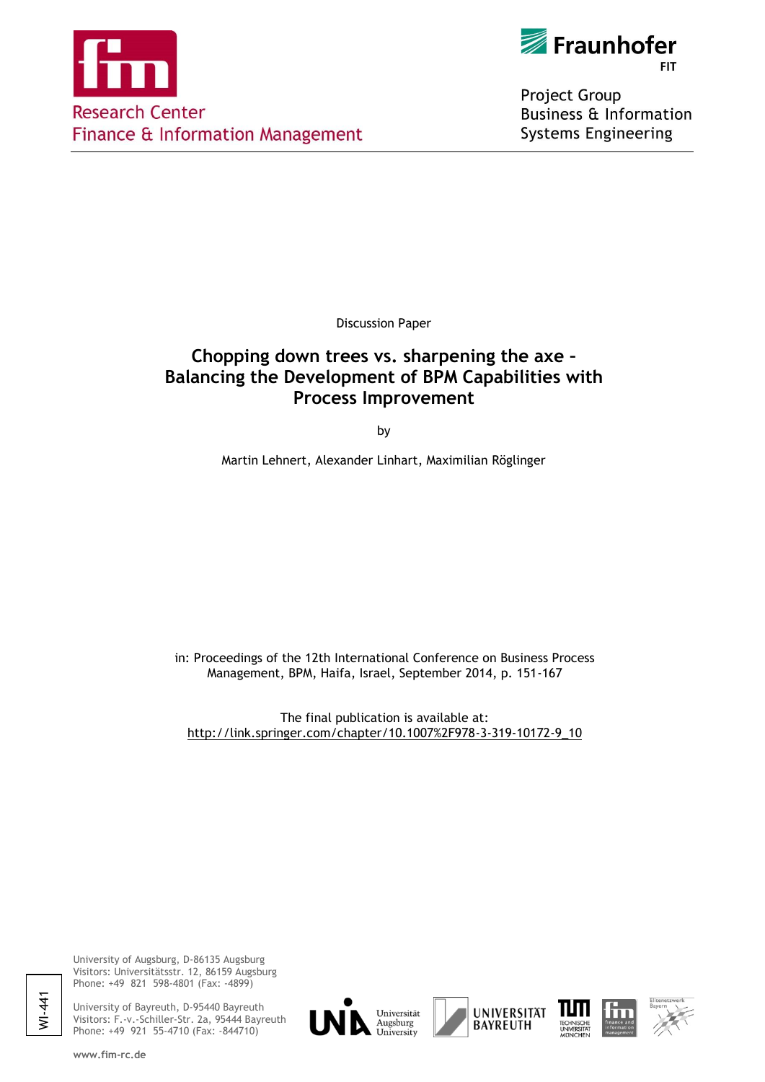



Project Group **Business & Information Systems Engineering** 

Discussion Paper

# **Chopping down trees vs. sharpening the axe – Balancing the Development of BPM Capabilities with Process Improvement**

by

Martin Lehnert, Alexander Linhart, Maximilian Röglinger

in: Proceedings of the 12th International Conference on Business Process Management, BPM, Haifa, Israel, September 2014, p. 151-167

The final publication is available at: http://link.springer.com/chapter/10.1007%2F978-3-319-10172-9\_10

University of Augsburg, D-86135 Augsburg Visitors: Universitätsstr. 12, 86159 Augsburg Phone: +49 821 598-4801 (Fax: -4899)

University of Bayreuth, D-95440 Bayreuth Visitors: F.-v.-Schiller-Str. 2a, 95444 Bayreuth Phone: +49 921 55-4710 (Fax: -844710)











WI-441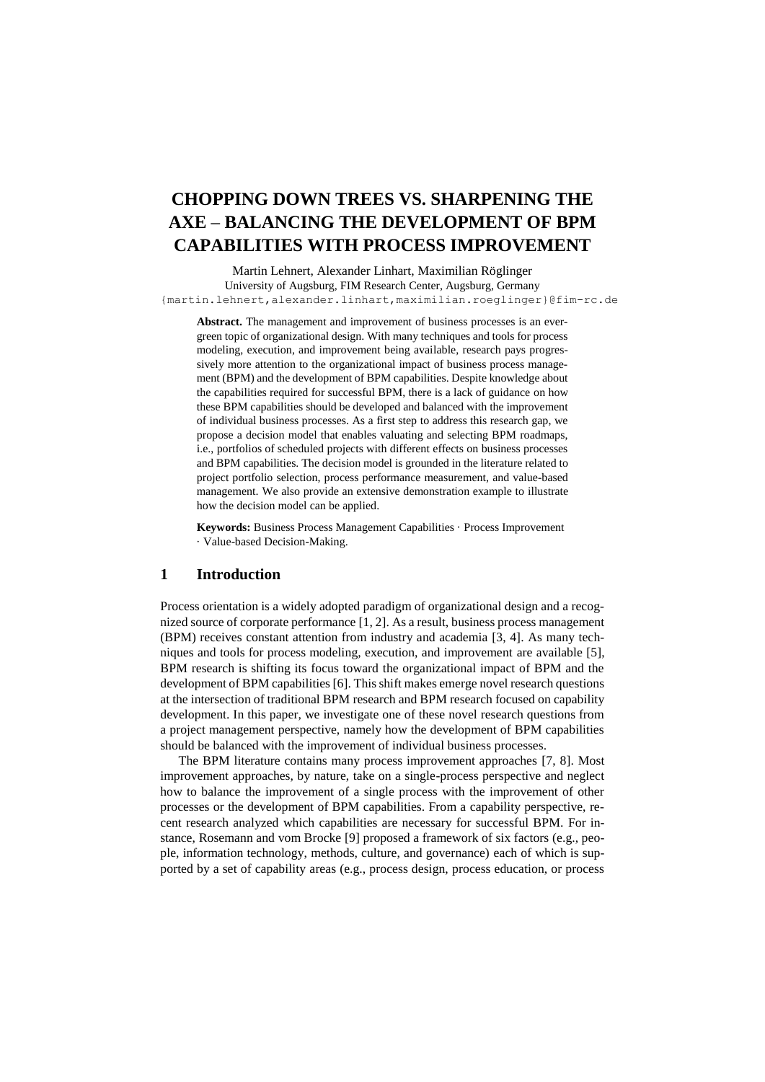# **CHOPPING DOWN TREES VS. SHARPENING THE AXE – BALANCING THE DEVELOPMENT OF BPM CAPABILITIES WITH PROCESS IMPROVEMENT**

Martin Lehnert, Alexander Linhart, Maximilian Röglinger University of Augsburg, FIM Research Center, Augsburg, Germany {martin.lehnert,alexander.linhart,maximilian.roeglinger}@fim-rc.de

**Abstract.** The management and improvement of business processes is an evergreen topic of organizational design. With many techniques and tools for process modeling, execution, and improvement being available, research pays progressively more attention to the organizational impact of business process management (BPM) and the development of BPM capabilities. Despite knowledge about the capabilities required for successful BPM, there is a lack of guidance on how these BPM capabilities should be developed and balanced with the improvement of individual business processes. As a first step to address this research gap, we propose a decision model that enables valuating and selecting BPM roadmaps, i.e., portfolios of scheduled projects with different effects on business processes and BPM capabilities. The decision model is grounded in the literature related to project portfolio selection, process performance measurement, and value-based management. We also provide an extensive demonstration example to illustrate how the decision model can be applied.

**Keywords:** Business Process Management Capabilities · Process Improvement · Value-based Decision-Making.

## **1 Introduction**

Process orientation is a widely adopted paradigm of organizational design and a recognized source of corporate performance [1, 2]. As a result, business process management (BPM) receives constant attention from industry and academia [3, 4]. As many techniques and tools for process modeling, execution, and improvement are available [5], BPM research is shifting its focus toward the organizational impact of BPM and the development of BPM capabilities [6]. This shift makes emerge novel research questions at the intersection of traditional BPM research and BPM research focused on capability development. In this paper, we investigate one of these novel research questions from a project management perspective, namely how the development of BPM capabilities should be balanced with the improvement of individual business processes.

The BPM literature contains many process improvement approaches [7, 8]. Most improvement approaches, by nature, take on a single-process perspective and neglect how to balance the improvement of a single process with the improvement of other processes or the development of BPM capabilities. From a capability perspective, recent research analyzed which capabilities are necessary for successful BPM. For instance, Rosemann and vom Brocke [9] proposed a framework of six factors (e.g., people, information technology, methods, culture, and governance) each of which is supported by a set of capability areas (e.g., process design, process education, or process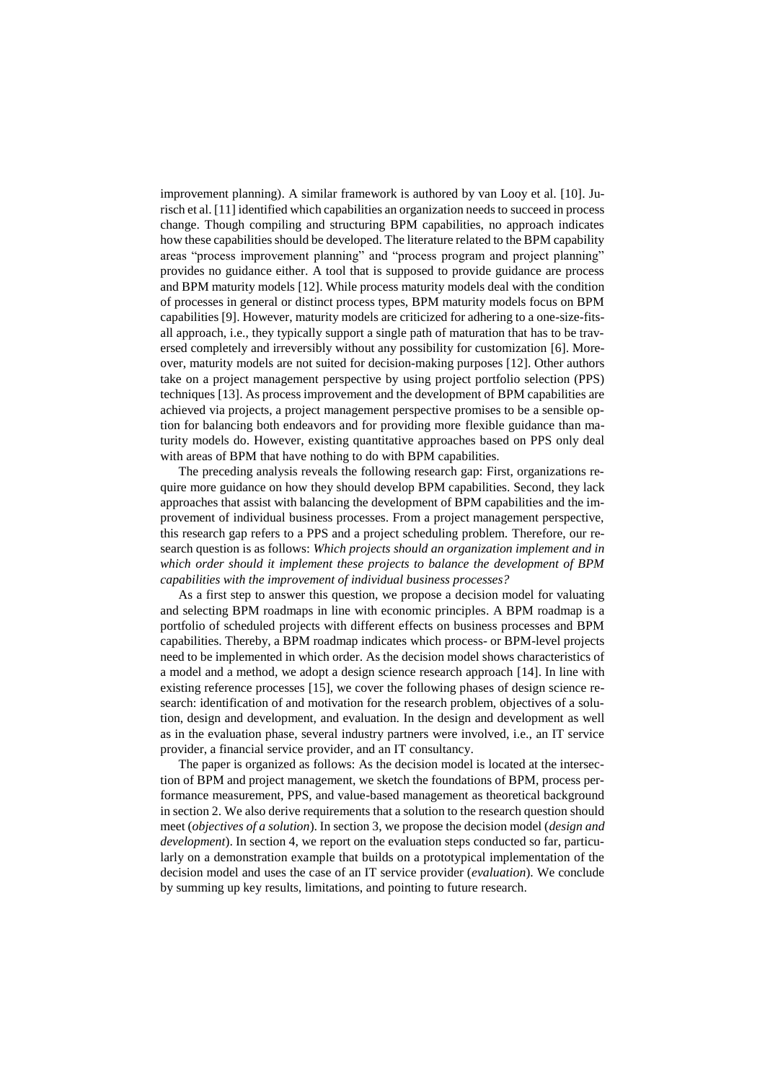improvement planning). A similar framework is authored by van Looy et al. [10]. Jurisch et al. [11] identified which capabilities an organization needs to succeed in process change. Though compiling and structuring BPM capabilities, no approach indicates how these capabilities should be developed. The literature related to the BPM capability areas "process improvement planning" and "process program and project planning" provides no guidance either. A tool that is supposed to provide guidance are process and BPM maturity models [12]. While process maturity models deal with the condition of processes in general or distinct process types, BPM maturity models focus on BPM capabilities [9]. However, maturity models are criticized for adhering to a one-size-fitsall approach, i.e., they typically support a single path of maturation that has to be traversed completely and irreversibly without any possibility for customization [6]. Moreover, maturity models are not suited for decision-making purposes [12]. Other authors take on a project management perspective by using project portfolio selection (PPS) techniques [13]. As process improvement and the development of BPM capabilities are achieved via projects, a project management perspective promises to be a sensible option for balancing both endeavors and for providing more flexible guidance than maturity models do. However, existing quantitative approaches based on PPS only deal with areas of BPM that have nothing to do with BPM capabilities.

The preceding analysis reveals the following research gap: First, organizations require more guidance on how they should develop BPM capabilities. Second, they lack approaches that assist with balancing the development of BPM capabilities and the improvement of individual business processes. From a project management perspective, this research gap refers to a PPS and a project scheduling problem. Therefore, our research question is as follows: *Which projects should an organization implement and in which order should it implement these projects to balance the development of BPM capabilities with the improvement of individual business processes?*

As a first step to answer this question, we propose a decision model for valuating and selecting BPM roadmaps in line with economic principles. A BPM roadmap is a portfolio of scheduled projects with different effects on business processes and BPM capabilities. Thereby, a BPM roadmap indicates which process- or BPM-level projects need to be implemented in which order. As the decision model shows characteristics of a model and a method, we adopt a design science research approach [14]. In line with existing reference processes [15], we cover the following phases of design science research: identification of and motivation for the research problem, objectives of a solution, design and development, and evaluation. In the design and development as well as in the evaluation phase, several industry partners were involved, i.e., an IT service provider, a financial service provider, and an IT consultancy.

The paper is organized as follows: As the decision model is located at the intersection of BPM and project management, we sketch the foundations of BPM, process performance measurement, PPS, and value-based management as theoretical background in section 2. We also derive requirements that a solution to the research question should meet (*objectives of a solution*). In section 3, we propose the decision model (*design and development*). In section 4, we report on the evaluation steps conducted so far, particularly on a demonstration example that builds on a prototypical implementation of the decision model and uses the case of an IT service provider (*evaluation*). We conclude by summing up key results, limitations, and pointing to future research.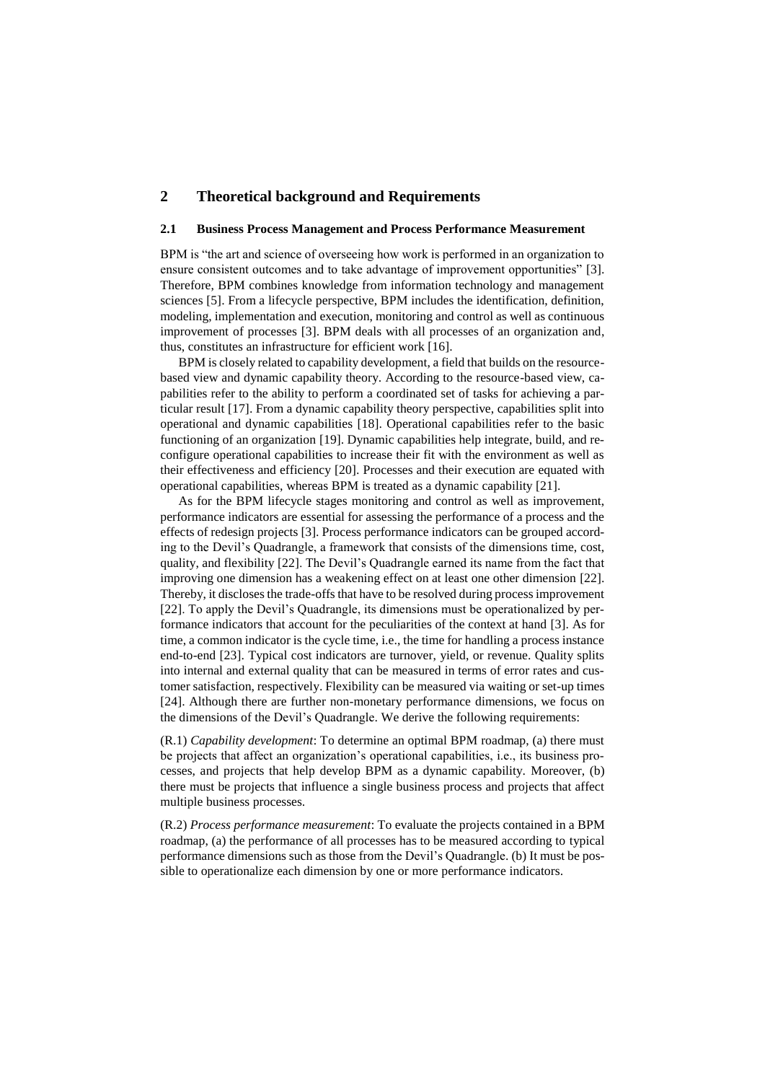# **2 Theoretical background and Requirements**

#### **2.1 Business Process Management and Process Performance Measurement**

BPM is "the art and science of overseeing how work is performed in an organization to ensure consistent outcomes and to take advantage of improvement opportunities" [3]. Therefore, BPM combines knowledge from information technology and management sciences [5]. From a lifecycle perspective, BPM includes the identification, definition, modeling, implementation and execution, monitoring and control as well as continuous improvement of processes [3]. BPM deals with all processes of an organization and, thus, constitutes an infrastructure for efficient work [16].

BPM is closely related to capability development, a field that builds on the resourcebased view and dynamic capability theory. According to the resource-based view, capabilities refer to the ability to perform a coordinated set of tasks for achieving a particular result [17]. From a dynamic capability theory perspective, capabilities split into operational and dynamic capabilities [18]. Operational capabilities refer to the basic functioning of an organization [19]. Dynamic capabilities help integrate, build, and reconfigure operational capabilities to increase their fit with the environment as well as their effectiveness and efficiency [20]. Processes and their execution are equated with operational capabilities, whereas BPM is treated as a dynamic capability [21].

As for the BPM lifecycle stages monitoring and control as well as improvement, performance indicators are essential for assessing the performance of a process and the effects of redesign projects [3]. Process performance indicators can be grouped according to the Devil's Quadrangle, a framework that consists of the dimensions time, cost, quality, and flexibility [22]. The Devil's Quadrangle earned its name from the fact that improving one dimension has a weakening effect on at least one other dimension [22]. Thereby, it discloses the trade-offs that have to be resolved during process improvement [22]. To apply the Devil's Quadrangle, its dimensions must be operationalized by performance indicators that account for the peculiarities of the context at hand [3]. As for time, a common indicator is the cycle time, i.e., the time for handling a process instance end-to-end [23]. Typical cost indicators are turnover, yield, or revenue. Quality splits into internal and external quality that can be measured in terms of error rates and customer satisfaction, respectively. Flexibility can be measured via waiting or set-up times [24]. Although there are further non-monetary performance dimensions, we focus on the dimensions of the Devil's Quadrangle. We derive the following requirements:

(R.1) *Capability development*: To determine an optimal BPM roadmap, (a) there must be projects that affect an organization's operational capabilities, i.e., its business processes, and projects that help develop BPM as a dynamic capability. Moreover, (b) there must be projects that influence a single business process and projects that affect multiple business processes.

(R.2) *Process performance measurement*: To evaluate the projects contained in a BPM roadmap, (a) the performance of all processes has to be measured according to typical performance dimensions such as those from the Devil's Quadrangle. (b) It must be possible to operationalize each dimension by one or more performance indicators.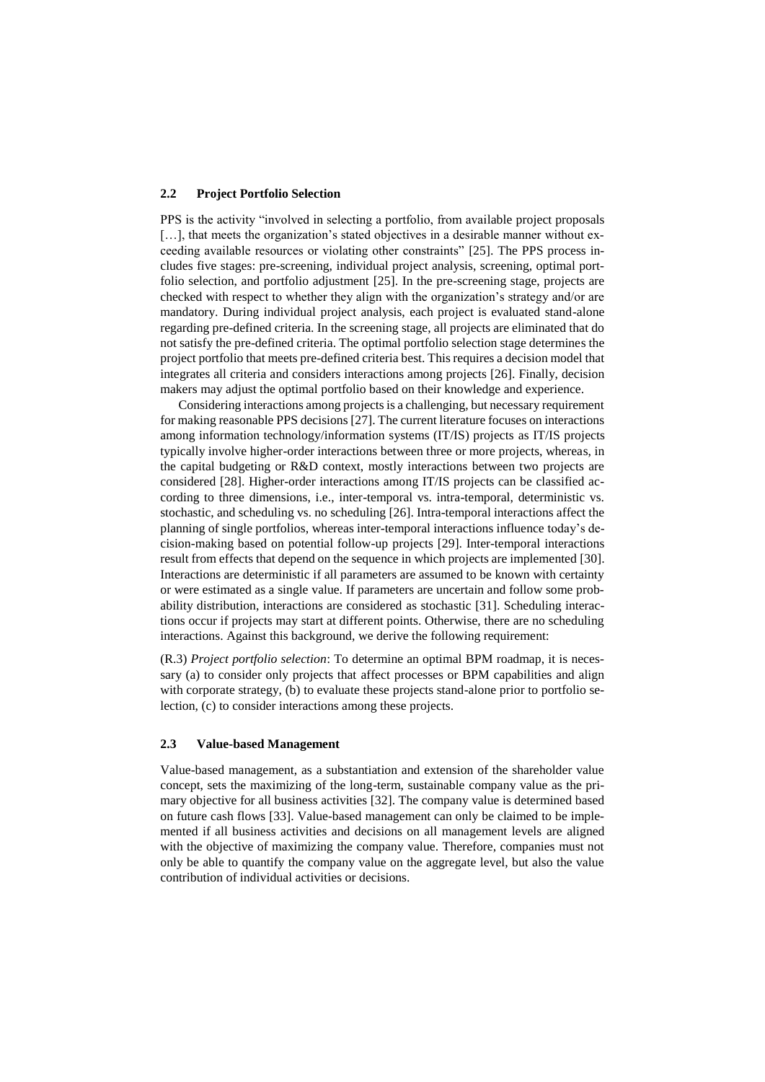#### **2.2 Project Portfolio Selection**

PPS is the activity "involved in selecting a portfolio, from available project proposals [...], that meets the organization's stated objectives in a desirable manner without exceeding available resources or violating other constraints" [25]. The PPS process includes five stages: pre-screening, individual project analysis, screening, optimal portfolio selection, and portfolio adjustment [25]. In the pre-screening stage, projects are checked with respect to whether they align with the organization's strategy and/or are mandatory. During individual project analysis, each project is evaluated stand-alone regarding pre-defined criteria. In the screening stage, all projects are eliminated that do not satisfy the pre-defined criteria. The optimal portfolio selection stage determines the project portfolio that meets pre-defined criteria best. This requires a decision model that integrates all criteria and considers interactions among projects [26]. Finally, decision makers may adjust the optimal portfolio based on their knowledge and experience.

Considering interactions among projects is a challenging, but necessary requirement for making reasonable PPS decisions [27]. The current literature focuses on interactions among information technology/information systems (IT/IS) projects as IT/IS projects typically involve higher-order interactions between three or more projects, whereas, in the capital budgeting or R&D context, mostly interactions between two projects are considered [28]. Higher-order interactions among IT/IS projects can be classified according to three dimensions, i.e., inter-temporal vs. intra-temporal, deterministic vs. stochastic, and scheduling vs. no scheduling [26]. Intra-temporal interactions affect the planning of single portfolios, whereas inter-temporal interactions influence today's decision-making based on potential follow-up projects [29]. Inter-temporal interactions result from effects that depend on the sequence in which projects are implemented [30]. Interactions are deterministic if all parameters are assumed to be known with certainty or were estimated as a single value. If parameters are uncertain and follow some probability distribution, interactions are considered as stochastic [31]. Scheduling interactions occur if projects may start at different points. Otherwise, there are no scheduling interactions. Against this background, we derive the following requirement:

(R.3) *Project portfolio selection*: To determine an optimal BPM roadmap, it is necessary (a) to consider only projects that affect processes or BPM capabilities and align with corporate strategy, (b) to evaluate these projects stand-alone prior to portfolio selection, (c) to consider interactions among these projects.

#### **2.3 Value-based Management**

Value-based management, as a substantiation and extension of the shareholder value concept, sets the maximizing of the long-term, sustainable company value as the primary objective for all business activities [32]. The company value is determined based on future cash flows [33]. Value-based management can only be claimed to be implemented if all business activities and decisions on all management levels are aligned with the objective of maximizing the company value. Therefore, companies must not only be able to quantify the company value on the aggregate level, but also the value contribution of individual activities or decisions.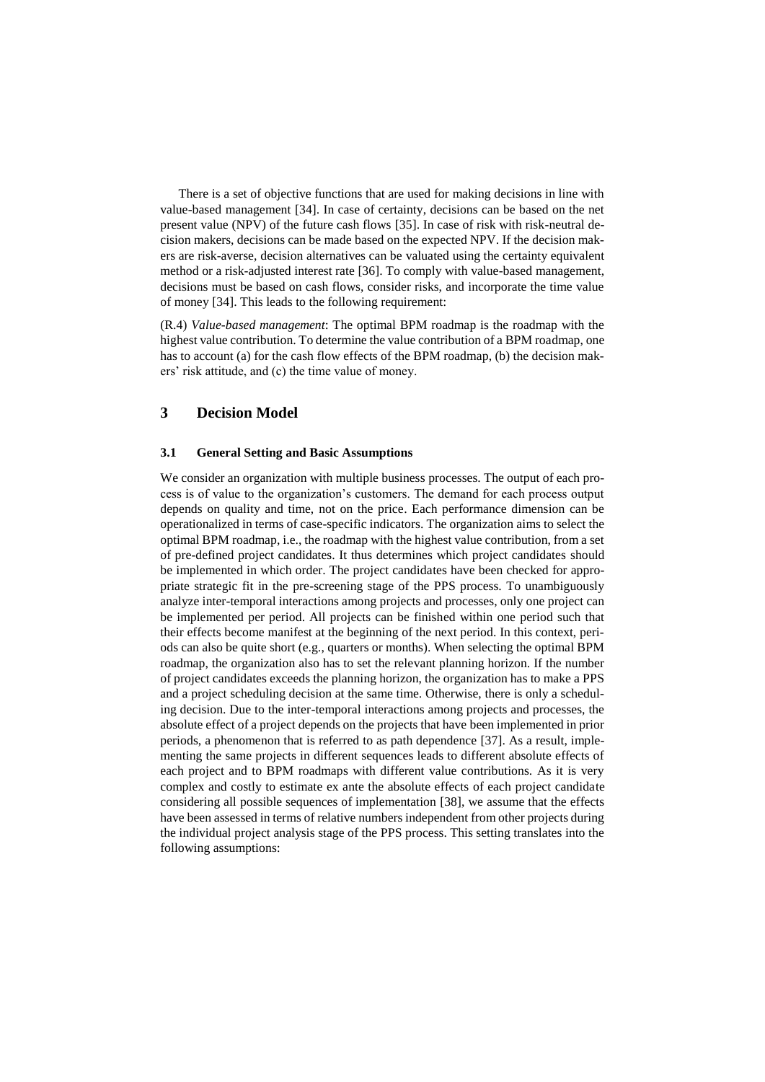There is a set of objective functions that are used for making decisions in line with value-based management [34]. In case of certainty, decisions can be based on the net present value (NPV) of the future cash flows [35]. In case of risk with risk-neutral decision makers, decisions can be made based on the expected NPV. If the decision makers are risk-averse, decision alternatives can be valuated using the certainty equivalent method or a risk-adjusted interest rate [36]. To comply with value-based management, decisions must be based on cash flows, consider risks, and incorporate the time value of money [34]. This leads to the following requirement:

(R.4) *Value-based management*: The optimal BPM roadmap is the roadmap with the highest value contribution. To determine the value contribution of a BPM roadmap, one has to account (a) for the cash flow effects of the BPM roadmap, (b) the decision makers' risk attitude, and (c) the time value of money.

# **3 Decision Model**

### **3.1 General Setting and Basic Assumptions**

We consider an organization with multiple business processes. The output of each process is of value to the organization's customers. The demand for each process output depends on quality and time, not on the price. Each performance dimension can be operationalized in terms of case-specific indicators. The organization aims to select the optimal BPM roadmap, i.e., the roadmap with the highest value contribution, from a set of pre-defined project candidates. It thus determines which project candidates should be implemented in which order. The project candidates have been checked for appropriate strategic fit in the pre-screening stage of the PPS process. To unambiguously analyze inter-temporal interactions among projects and processes, only one project can be implemented per period. All projects can be finished within one period such that their effects become manifest at the beginning of the next period. In this context, periods can also be quite short (e.g., quarters or months). When selecting the optimal BPM roadmap, the organization also has to set the relevant planning horizon. If the number of project candidates exceeds the planning horizon, the organization has to make a PPS and a project scheduling decision at the same time. Otherwise, there is only a scheduling decision. Due to the inter-temporal interactions among projects and processes, the absolute effect of a project depends on the projects that have been implemented in prior periods, a phenomenon that is referred to as path dependence [37]. As a result, implementing the same projects in different sequences leads to different absolute effects of each project and to BPM roadmaps with different value contributions. As it is very complex and costly to estimate ex ante the absolute effects of each project candidate considering all possible sequences of implementation [38], we assume that the effects have been assessed in terms of relative numbers independent from other projects during the individual project analysis stage of the PPS process. This setting translates into the following assumptions: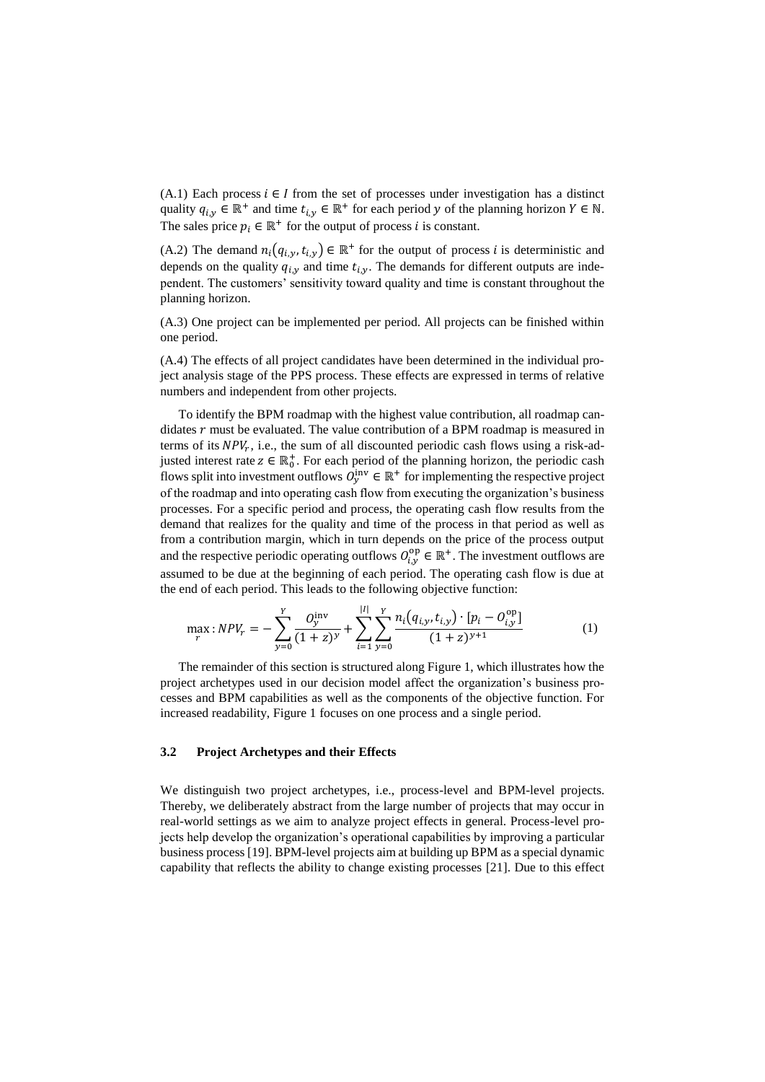(A.1) Each process  $i \in I$  from the set of processes under investigation has a distinct quality  $q_{i,y} \in \mathbb{R}^+$  and time  $t_{i,y} \in \mathbb{R}^+$  for each period y of the planning horizon  $Y \in \mathbb{N}$ . The sales price  $p_i \in \mathbb{R}^+$  for the output of process *i* is constant.

(A.2) The demand  $n_i(q_{i,y}, t_{i,y}) \in \mathbb{R}^+$  for the output of process *i* is deterministic and depends on the quality  $q_{i,y}$  and time  $t_{i,y}$ . The demands for different outputs are independent. The customers' sensitivity toward quality and time is constant throughout the planning horizon.

(A.3) One project can be implemented per period. All projects can be finished within one period.

(A.4) The effects of all project candidates have been determined in the individual project analysis stage of the PPS process. These effects are expressed in terms of relative numbers and independent from other projects.

To identify the BPM roadmap with the highest value contribution, all roadmap candidates  $r$  must be evaluated. The value contribution of a BPM roadmap is measured in terms of its  $NPV_r$ , i.e., the sum of all discounted periodic cash flows using a risk-adjusted interest rate  $z \in \mathbb{R}_0^+$ . For each period of the planning horizon, the periodic cash flows split into investment outflows  $O_y^{\text{inv}} \in \mathbb{R}^+$  for implementing the respective project of the roadmap and into operating cash flow from executing the organization's business processes. For a specific period and process, the operating cash flow results from the demand that realizes for the quality and time of the process in that period as well as from a contribution margin, which in turn depends on the price of the process output and the respective periodic operating outflows  $O_{i,y}^{op} \in \mathbb{R}^+$ . The investment outflows are assumed to be due at the beginning of each period. The operating cash flow is due at the end of each period. This leads to the following objective function:

$$
\max_{r} : NPV_r = -\sum_{y=0}^{Y} \frac{O_y^{\text{inv}}}{(1+z)^y} + \sum_{i=1}^{|I|} \sum_{y=0}^{Y} \frac{n_i (q_{i,y}, t_{i,y}) \cdot [p_i - O_{i,y}^{\text{op}}]}{(1+z)^{y+1}} \tag{1}
$$

The remainder of this section is structured along Figure 1, which illustrates how the project archetypes used in our decision model affect the organization's business processes and BPM capabilities as well as the components of the objective function. For increased readability, Figure 1 focuses on one process and a single period.

## **3.2 Project Archetypes and their Effects**

We distinguish two project archetypes, i.e., process-level and BPM-level projects. Thereby, we deliberately abstract from the large number of projects that may occur in real-world settings as we aim to analyze project effects in general. Process-level projects help develop the organization's operational capabilities by improving a particular business process [19]. BPM-level projects aim at building up BPM as a special dynamic capability that reflects the ability to change existing processes [21]. Due to this effect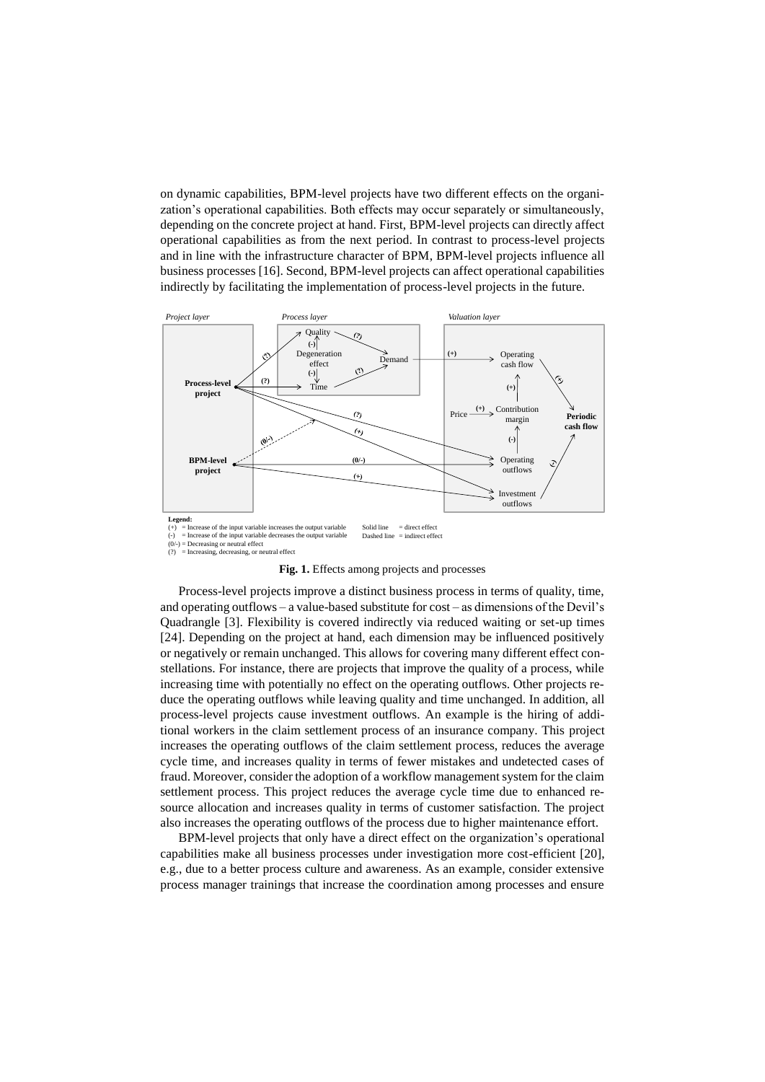on dynamic capabilities, BPM-level projects have two different effects on the organization's operational capabilities. Both effects may occur separately or simultaneously, depending on the concrete project at hand. First, BPM-level projects can directly affect operational capabilities as from the next period. In contrast to process-level projects and in line with the infrastructure character of BPM, BPM-level projects influence all business processes [16]. Second, BPM-level projects can affect operational capabilities indirectly by facilitating the implementation of process-level projects in the future.



**Fig. 1.** Effects among projects and processes

Process-level projects improve a distinct business process in terms of quality, time, and operating outflows – a value-based substitute for cost – as dimensions of the Devil's Quadrangle [3]. Flexibility is covered indirectly via reduced waiting or set-up times [24]. Depending on the project at hand, each dimension may be influenced positively or negatively or remain unchanged. This allows for covering many different effect constellations. For instance, there are projects that improve the quality of a process, while increasing time with potentially no effect on the operating outflows. Other projects reduce the operating outflows while leaving quality and time unchanged. In addition, all process-level projects cause investment outflows. An example is the hiring of additional workers in the claim settlement process of an insurance company. This project increases the operating outflows of the claim settlement process, reduces the average cycle time, and increases quality in terms of fewer mistakes and undetected cases of fraud. Moreover, consider the adoption of a workflow management system for the claim settlement process. This project reduces the average cycle time due to enhanced resource allocation and increases quality in terms of customer satisfaction. The project also increases the operating outflows of the process due to higher maintenance effort.

BPM-level projects that only have a direct effect on the organization's operational capabilities make all business processes under investigation more cost-efficient [20], e.g., due to a better process culture and awareness. As an example, consider extensive process manager trainings that increase the coordination among processes and ensure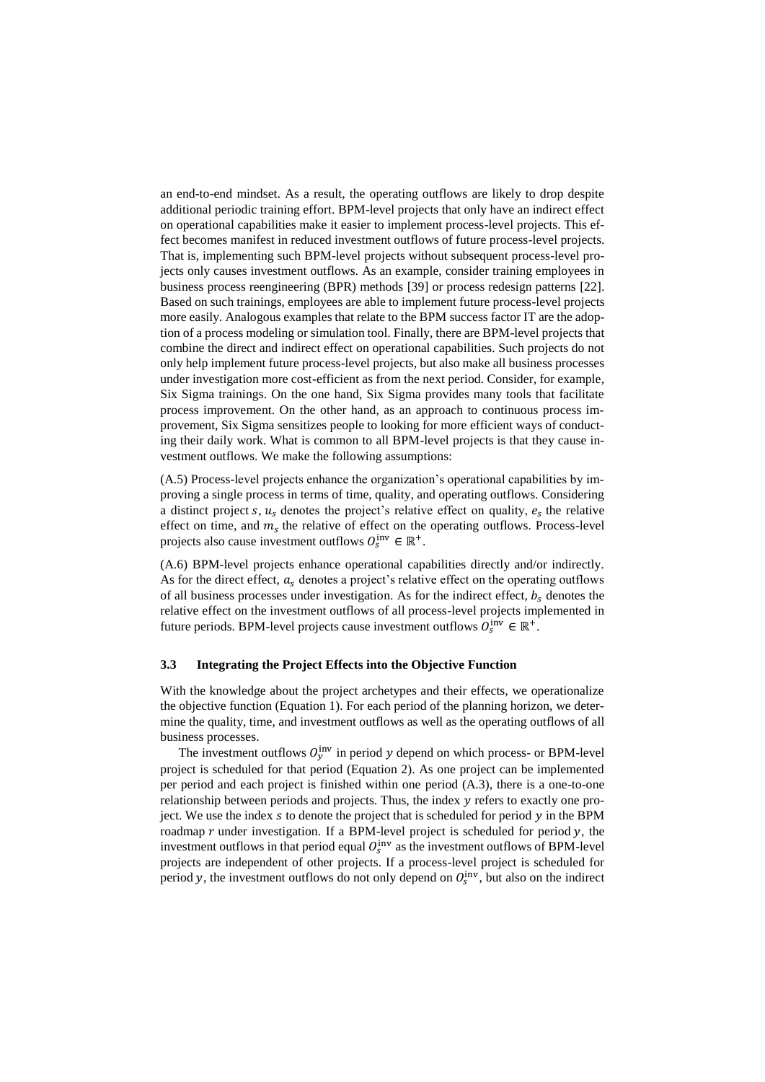an end-to-end mindset. As a result, the operating outflows are likely to drop despite additional periodic training effort. BPM-level projects that only have an indirect effect on operational capabilities make it easier to implement process-level projects. This effect becomes manifest in reduced investment outflows of future process-level projects. That is, implementing such BPM-level projects without subsequent process-level projects only causes investment outflows. As an example, consider training employees in business process reengineering (BPR) methods [39] or process redesign patterns [22]. Based on such trainings, employees are able to implement future process-level projects more easily. Analogous examples that relate to the BPM success factor IT are the adoption of a process modeling or simulation tool. Finally, there are BPM-level projects that combine the direct and indirect effect on operational capabilities. Such projects do not only help implement future process-level projects, but also make all business processes under investigation more cost-efficient as from the next period. Consider, for example, Six Sigma trainings. On the one hand, Six Sigma provides many tools that facilitate process improvement. On the other hand, as an approach to continuous process improvement, Six Sigma sensitizes people to looking for more efficient ways of conducting their daily work. What is common to all BPM-level projects is that they cause investment outflows. We make the following assumptions:

(A.5) Process-level projects enhance the organization's operational capabilities by improving a single process in terms of time, quality, and operating outflows. Considering a distinct project s,  $u_s$  denotes the project's relative effect on quality,  $e_s$  the relative effect on time, and  $m<sub>s</sub>$  the relative of effect on the operating outflows. Process-level projects also cause investment outflows  $O_s^{\text{inv}} \in \mathbb{R}^+$ .

(A.6) BPM-level projects enhance operational capabilities directly and/or indirectly. As for the direct effect,  $a<sub>s</sub>$  denotes a project's relative effect on the operating outflows of all business processes under investigation. As for the indirect effect,  $b_s$  denotes the relative effect on the investment outflows of all process-level projects implemented in future periods. BPM-level projects cause investment outflows  $O_s^{\text{inv}} \in \mathbb{R}^+$ .

#### **3.3 Integrating the Project Effects into the Objective Function**

With the knowledge about the project archetypes and their effects, we operationalize the objective function (Equation 1). For each period of the planning horizon, we determine the quality, time, and investment outflows as well as the operating outflows of all business processes.

The investment outflows  $O_y^{\text{inv}}$  in period y depend on which process- or BPM-level project is scheduled for that period (Equation 2). As one project can be implemented per period and each project is finished within one period (A.3), there is a one-to-one relationship between periods and projects. Thus, the index  $\nu$  refers to exactly one project. We use the index  $s$  to denote the project that is scheduled for period  $y$  in the BPM roadmap  $r$  under investigation. If a BPM-level project is scheduled for period  $y$ , the investment outflows in that period equal  $O_s^{\text{inv}}$  as the investment outflows of BPM-level projects are independent of other projects. If a process-level project is scheduled for period y, the investment outflows do not only depend on  $O_s^{\text{inv}}$ , but also on the indirect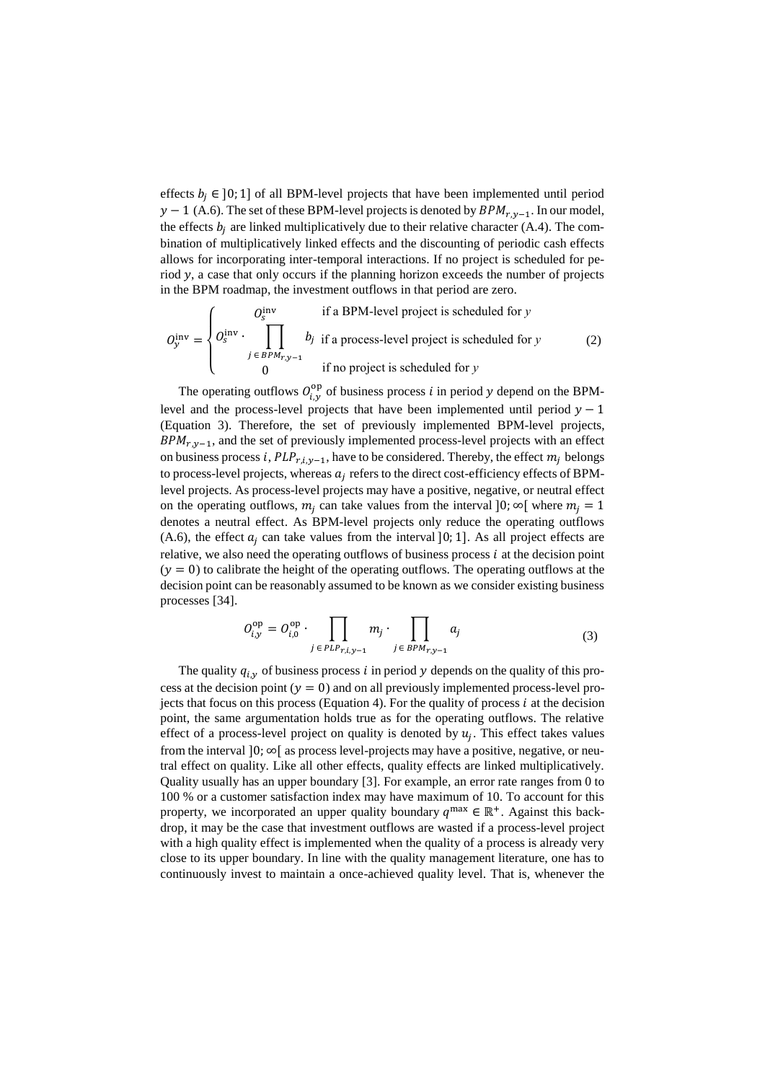effects  $b_i \in [0, 1]$  of all BPM-level projects that have been implemented until period  $y-1$  (A.6). The set of these BPM-level projects is denoted by  $BPM_{r,y-1}$ . In our model, the effects  $b_i$  are linked multiplicatively due to their relative character (A.4). The combination of multiplicatively linked effects and the discounting of periodic cash effects allows for incorporating inter-temporal interactions. If no project is scheduled for period  $y$ , a case that only occurs if the planning horizon exceeds the number of projects in the BPM roadmap, the investment outflows in that period are zero.

$$
O_y^{\text{inv}} = \begin{cases} O_s^{\text{inv}} & \text{if a BPM-level project is scheduled for } y \\ O_s^{\text{inv}} \cdot \prod_{j \in BPM_{r, y-1}} b_j & \text{if a process-level project is scheduled for } y \\ 0 & \text{if no project is scheduled for } y \end{cases} \tag{2}
$$

The operating outflows  $O_{i,y}^{op}$  of business process *i* in period *y* depend on the BPMlevel and the process-level projects that have been implemented until period  $y - 1$ (Equation 3). Therefore, the set of previously implemented BPM-level projects,  $BPM_{r,y-1}$ , and the set of previously implemented process-level projects with an effect on business process *i*,  $PLP_{r,i,y-1}$ , have to be considered. Thereby, the effect  $m_j$  belongs to process-level projects, whereas  $a_j$  refers to the direct cost-efficiency effects of BPMlevel projects. As process-level projects may have a positive, negative, or neutral effect on the operating outflows,  $m_i$  can take values from the interval ]0;  $\infty$ [ where  $m_i = 1$ denotes a neutral effect. As BPM-level projects only reduce the operating outflows (A.6), the effect  $a_i$  can take values from the interval [0; 1]. As all project effects are relative, we also need the operating outflows of business process  $i$  at the decision point  $(y = 0)$  to calibrate the height of the operating outflows. The operating outflows at the decision point can be reasonably assumed to be known as we consider existing business processes [34].

$$
O_{i,y}^{\text{op}} = O_{i,0}^{\text{op}} \cdot \prod_{j \in PLP_{r,i,y-1}} m_j \cdot \prod_{j \in BPM_{r,y-1}} a_j \tag{3}
$$

The quality  $q_{i,y}$  of business process *i* in period y depends on the quality of this process at the decision point  $(y = 0)$  and on all previously implemented process-level projects that focus on this process (Equation 4). For the quality of process  $\dot{i}$  at the decision point, the same argumentation holds true as for the operating outflows. The relative effect of a process-level project on quality is denoted by  $u_j$ . This effect takes values from the interval  $[0; \infty)$  as process level-projects may have a positive, negative, or neutral effect on quality. Like all other effects, quality effects are linked multiplicatively. Quality usually has an upper boundary [3]. For example, an error rate ranges from 0 to 100 % or a customer satisfaction index may have maximum of 10. To account for this property, we incorporated an upper quality boundary  $q^{\max} \in \mathbb{R}^+$ . Against this backdrop, it may be the case that investment outflows are wasted if a process-level project with a high quality effect is implemented when the quality of a process is already very close to its upper boundary. In line with the quality management literature, one has to continuously invest to maintain a once-achieved quality level. That is, whenever the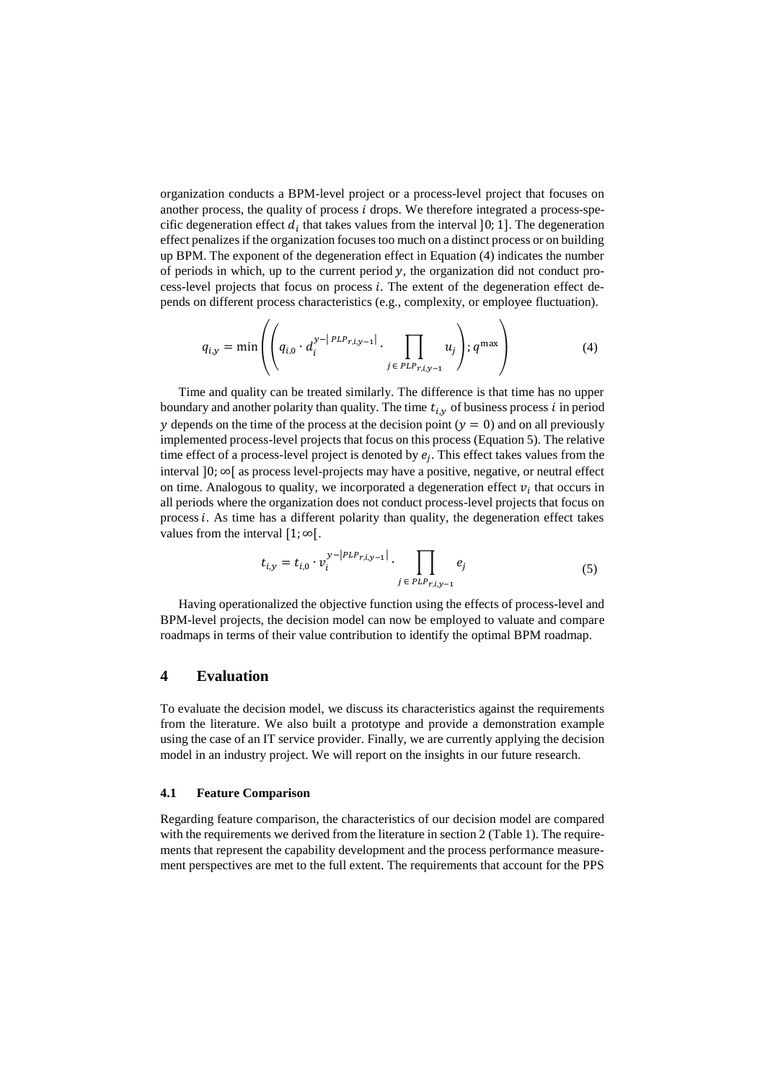organization conducts a BPM-level project or a process-level project that focuses on another process, the quality of process  $i$  drops. We therefore integrated a process-specific degeneration effect  $d_i$  that takes values from the interval  $]0; 1]$ . The degeneration effect penalizes if the organization focuses too much on a distinct process or on building up BPM. The exponent of the degeneration effect in Equation (4) indicates the number of periods in which, up to the current period  $y$ , the organization did not conduct process-level projects that focus on process  $i$ . The extent of the degeneration effect depends on different process characteristics (e.g., complexity, or employee fluctuation).

$$
q_{i,y} = \min\left( \left( q_{i,0} \cdot d_i^{y - |PLP_{r,i,y-1}|} \cdot \prod_{j \in PLP_{r,i,y-1}} u_j \right); q^{\max} \right) \tag{4}
$$

Time and quality can be treated similarly. The difference is that time has no upper boundary and another polarity than quality. The time  $t_{i,v}$  of business process *i* in period y depends on the time of the process at the decision point ( $y = 0$ ) and on all previously implemented process-level projects that focus on this process (Equation 5). The relative time effect of a process-level project is denoted by  $e_j$ . This effect takes values from the interval  $]0; \infty[$  as process level-projects may have a positive, negative, or neutral effect on time. Analogous to quality, we incorporated a degeneration effect  $v_i$  that occurs in all periods where the organization does not conduct process-level projects that focus on process *i*. As time has a different polarity than quality, the degeneration effect takes values from the interval  $[1; \infty]$ .

$$
t_{i,y} = t_{i,0} \cdot v_i^{y-|PLP_{r,i,y-1}|} \cdot \prod_{j \in PLP_{r,i,y-1}} e_j
$$
 (5)

Having operationalized the objective function using the effects of process-level and BPM-level projects, the decision model can now be employed to valuate and compare roadmaps in terms of their value contribution to identify the optimal BPM roadmap.

## **4 Evaluation**

To evaluate the decision model, we discuss its characteristics against the requirements from the literature. We also built a prototype and provide a demonstration example using the case of an IT service provider. Finally, we are currently applying the decision model in an industry project. We will report on the insights in our future research.

### **4.1 Feature Comparison**

Regarding feature comparison, the characteristics of our decision model are compared with the requirements we derived from the literature in section 2 (Table 1). The requirements that represent the capability development and the process performance measurement perspectives are met to the full extent. The requirements that account for the PPS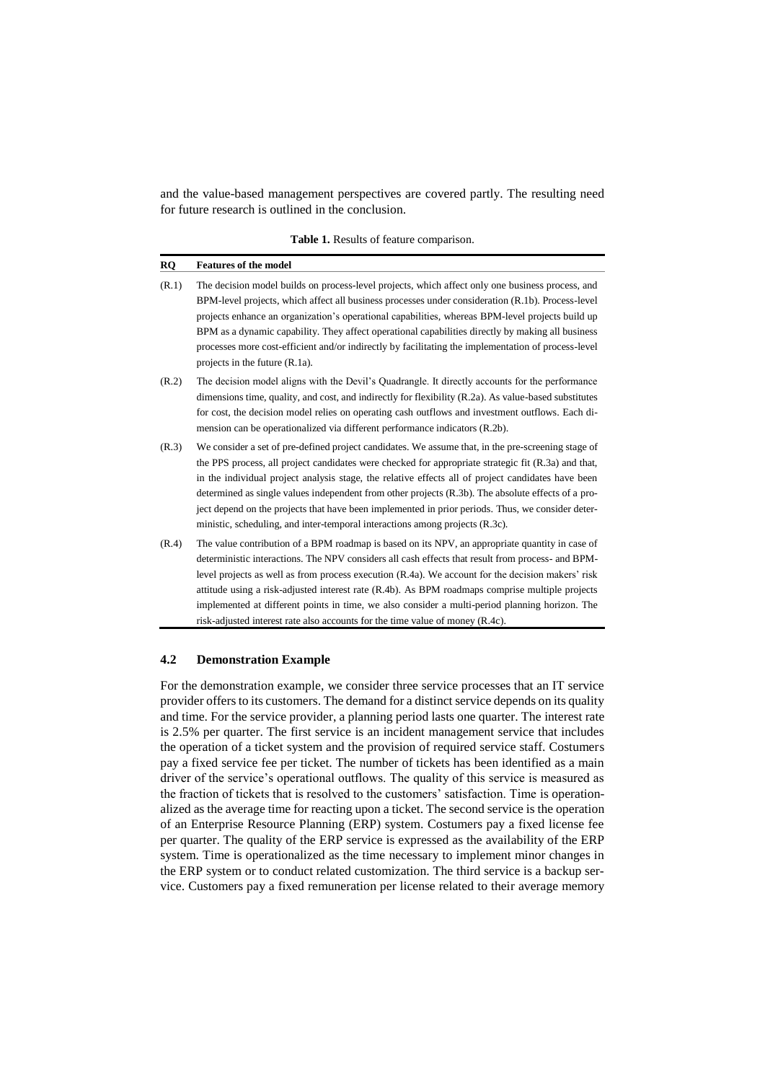and the value-based management perspectives are covered partly. The resulting need for future research is outlined in the conclusion.

**Table 1.** Results of feature comparison.

| <b>RQ</b> | <b>Features of the model</b>                                                                                                                                                                                                                                                                                                                                                                                                                                                                                                                                                                               |
|-----------|------------------------------------------------------------------------------------------------------------------------------------------------------------------------------------------------------------------------------------------------------------------------------------------------------------------------------------------------------------------------------------------------------------------------------------------------------------------------------------------------------------------------------------------------------------------------------------------------------------|
| (R.1)     | The decision model builds on process-level projects, which affect only one business process, and<br>BPM-level projects, which affect all business processes under consideration (R.1b). Process-level<br>projects enhance an organization's operational capabilities, whereas BPM-level projects build up<br>BPM as a dynamic capability. They affect operational capabilities directly by making all business<br>processes more cost-efficient and/or indirectly by facilitating the implementation of process-level<br>projects in the future $(R.1a)$ .                                                 |
| (R.2)     | The decision model aligns with the Devil's Quadrangle. It directly accounts for the performance<br>dimensions time, quality, and cost, and indirectly for flexibility (R.2a). As value-based substitutes<br>for cost, the decision model relies on operating cash outflows and investment outflows. Each di-<br>mension can be operationalized via different performance indicators (R.2b).                                                                                                                                                                                                                |
| (R.3)     | We consider a set of pre-defined project candidates. We assume that, in the pre-screening stage of<br>the PPS process, all project candidates were checked for appropriate strategic fit (R.3a) and that,<br>in the individual project analysis stage, the relative effects all of project candidates have been<br>determined as single values independent from other projects (R.3b). The absolute effects of a pro-<br>ject depend on the projects that have been implemented in prior periods. Thus, we consider deter-<br>ministic, scheduling, and inter-temporal interactions among projects (R.3c). |
| (R.4)     | The value contribution of a BPM roadmap is based on its NPV, an appropriate quantity in case of<br>deterministic interactions. The NPV considers all cash effects that result from process- and BPM-<br>level projects as well as from process execution (R.4a). We account for the decision makers' risk<br>attitude using a risk-adjusted interest rate (R.4b). As BPM roadmaps comprise multiple projects<br>implemented at different points in time, we also consider a multi-period planning horizon. The                                                                                             |

#### **4.2 Demonstration Example**

For the demonstration example, we consider three service processes that an IT service provider offers to its customers. The demand for a distinct service depends on its quality and time. For the service provider, a planning period lasts one quarter. The interest rate is 2.5% per quarter. The first service is an incident management service that includes the operation of a ticket system and the provision of required service staff. Costumers pay a fixed service fee per ticket. The number of tickets has been identified as a main driver of the service's operational outflows. The quality of this service is measured as the fraction of tickets that is resolved to the customers' satisfaction. Time is operationalized as the average time for reacting upon a ticket. The second service is the operation of an Enterprise Resource Planning (ERP) system. Costumers pay a fixed license fee per quarter. The quality of the ERP service is expressed as the availability of the ERP system. Time is operationalized as the time necessary to implement minor changes in the ERP system or to conduct related customization. The third service is a backup service. Customers pay a fixed remuneration per license related to their average memory

risk-adjusted interest rate also accounts for the time value of money (R.4c).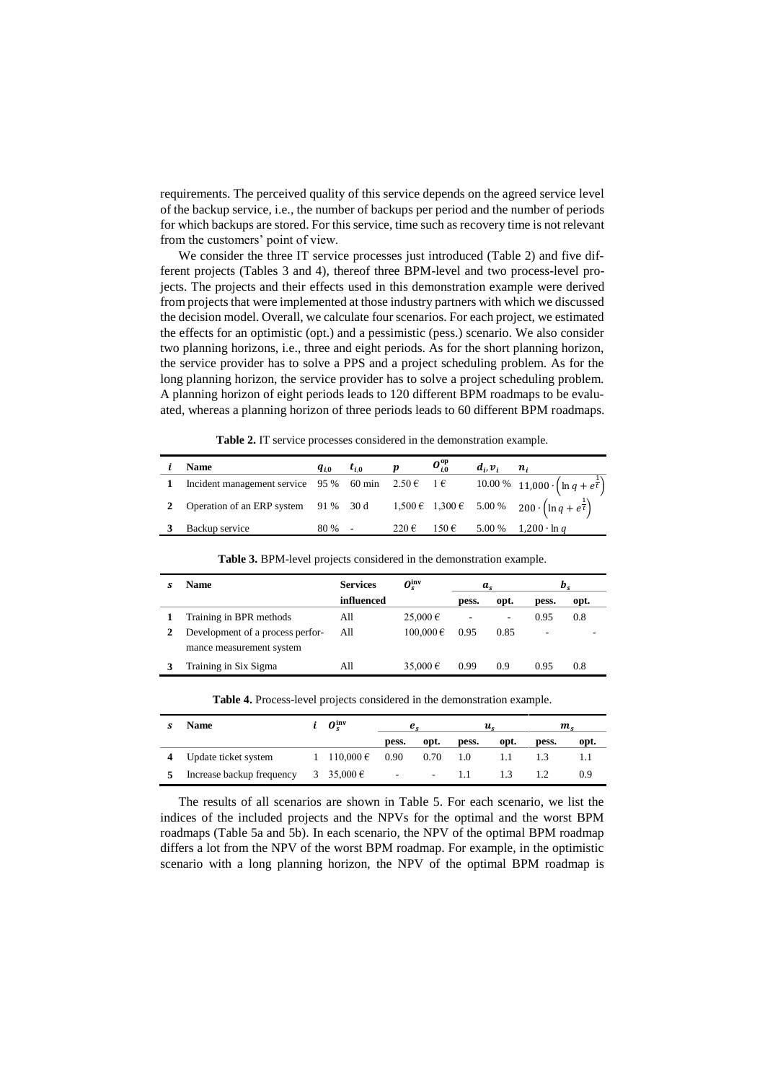requirements. The perceived quality of this service depends on the agreed service level of the backup service, i.e., the number of backups per period and the number of periods for which backups are stored. For this service, time such as recovery time is not relevant from the customers' point of view.

We consider the three IT service processes just introduced (Table 2) and five different projects (Tables 3 and 4), thereof three BPM-level and two process-level projects. The projects and their effects used in this demonstration example were derived from projects that were implemented at those industry partners with which we discussed the decision model. Overall, we calculate four scenarios. For each project, we estimated the effects for an optimistic (opt.) and a pessimistic (pess.) scenario. We also consider two planning horizons, i.e., three and eight periods. As for the short planning horizon, the service provider has to solve a PPS and a project scheduling problem. As for the long planning horizon, the service provider has to solve a project scheduling problem. A planning horizon of eight periods leads to 120 different BPM roadmaps to be evaluated, whereas a planning horizon of three periods leads to 60 different BPM roadmaps.

**Table 2.** IT service processes considered in the demonstration example.

|                         | <b>Name</b>                                                                                                                                      | $q_{i,0}$ | $t_{i,0}$  | $\boldsymbol{n}$ | $O_{i,0}^{op}$ | $d_i, v_i$ | $\boldsymbol{n}$                                              |
|-------------------------|--------------------------------------------------------------------------------------------------------------------------------------------------|-----------|------------|------------------|----------------|------------|---------------------------------------------------------------|
|                         | Incident management service 95 % 60 min $2.50 \in 1 \in$                                                                                         |           |            |                  |                |            | 10.00 % 11,000 $\cdot \left( \ln q + e^{\frac{1}{t}} \right)$ |
|                         | 2 Operation of an ERP system 91 % 30 d $1,500 \text{ } \infty$ $1,300 \text{ } \infty$ 5.00 % 200 $\cdot \left( \ln q + e^{\frac{1}{t}} \right)$ |           |            |                  |                |            |                                                               |
| $\overline{\mathbf{3}}$ | Backup service                                                                                                                                   | 80 %      | $\sim$ $-$ | $220 \in$        | $150 \in$      | 5.00 %     | $1,200 \cdot \ln q$                                           |
|                         |                                                                                                                                                  |           |            |                  |                |            |                                                               |

| Name                             | <b>Services</b> | $\boldsymbol{o}_s^{\text{inv}}$ | a.    |      |       |      |
|----------------------------------|-----------------|---------------------------------|-------|------|-------|------|
|                                  | influenced      |                                 | pess. | opt. | pess. | opt. |
| Training in BPR methods          | All             | $25,000 \in$                    | ۰     | ۰    | 0.95  | 0.8  |
| Development of a process perfor- | All             | $100,000 \in$                   | 0.95  | 0.85 | -     |      |
| mance measurement system         |                 |                                 |       |      |       |      |
| Training in Six Sigma            | All             | 35,000 €                        | 0.99  | 0.9  | 0.95  | 0.8  |

**Table 3.** BPM-level projects considered in the demonstration example.

| <b>Name</b>               | $\boldsymbol{O}_{\varepsilon}^{\text{inv}}$ | е.     |                  | u.    |      | m.    |      |
|---------------------------|---------------------------------------------|--------|------------------|-------|------|-------|------|
|                           |                                             | pess.  | opt.             | pess. | opt. | pess. | opt. |
| Update ticket system      | $1\quad110,000 \text{ } \in \text{ } 0.90$  |        | 0.70             | 1.0   |      |       |      |
| Increase backup frequency | 3 35,000 $\epsilon$                         | $\sim$ | $\sim$ 100 $\mu$ | 11    | 1.3  |       | 0.9  |

**Table 4.** Process-level projects considered in the demonstration example.

The results of all scenarios are shown in Table 5. For each scenario, we list the indices of the included projects and the NPVs for the optimal and the worst BPM roadmaps (Table 5a and 5b). In each scenario, the NPV of the optimal BPM roadmap differs a lot from the NPV of the worst BPM roadmap. For example, in the optimistic scenario with a long planning horizon, the NPV of the optimal BPM roadmap is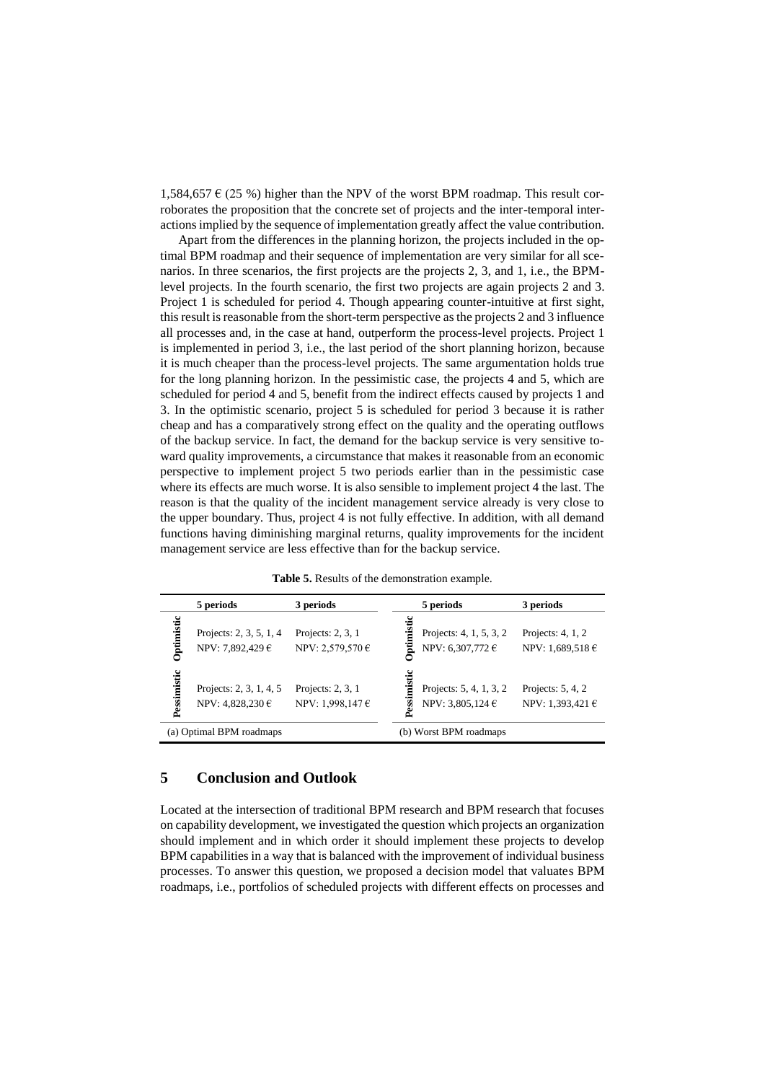1,584,657  $\in$  (25 %) higher than the NPV of the worst BPM roadmap. This result corroborates the proposition that the concrete set of projects and the inter-temporal interactions implied by the sequence of implementation greatly affect the value contribution.

Apart from the differences in the planning horizon, the projects included in the optimal BPM roadmap and their sequence of implementation are very similar for all scenarios. In three scenarios, the first projects are the projects 2, 3, and 1, i.e., the BPMlevel projects. In the fourth scenario, the first two projects are again projects 2 and 3. Project 1 is scheduled for period 4. Though appearing counter-intuitive at first sight, this result is reasonable from the short-term perspective as the projects 2 and 3 influence all processes and, in the case at hand, outperform the process-level projects. Project 1 is implemented in period 3, i.e., the last period of the short planning horizon, because it is much cheaper than the process-level projects. The same argumentation holds true for the long planning horizon. In the pessimistic case, the projects 4 and 5, which are scheduled for period 4 and 5, benefit from the indirect effects caused by projects 1 and 3. In the optimistic scenario, project 5 is scheduled for period 3 because it is rather cheap and has a comparatively strong effect on the quality and the operating outflows of the backup service. In fact, the demand for the backup service is very sensitive toward quality improvements, a circumstance that makes it reasonable from an economic perspective to implement project 5 two periods earlier than in the pessimistic case where its effects are much worse. It is also sensible to implement project 4 the last. The reason is that the quality of the incident management service already is very close to the upper boundary. Thus, project 4 is not fully effective. In addition, with all demand functions having diminishing marginal returns, quality improvements for the incident management service are less effective than for the backup service.

**Table 5.** Results of the demonstration example.

|                          | 5 periods                                       | 3 periods                               |             | 5 periods                                   | 3 periods                               |
|--------------------------|-------------------------------------------------|-----------------------------------------|-------------|---------------------------------------------|-----------------------------------------|
| Optimistic               | Projects: 2, 3, 5, 1, 4<br>NPV: 7,892,429 €     | Projects: $2, 3, 1$<br>NPV: 2,579,570 € | ptimistic   | Projects: 4, 1, 5, 3, 2<br>NPV: 6,307,772 € | Projects: $4, 1, 2$<br>NPV: 1,689,518 € |
| Pessimistic              | Projects: 2, 3, 1, 4, 5<br>NPV: 4,828,230 $\in$ | Projects: $2, 3, 1$<br>NPV: 1,998,147 € | Pessimistic | Projects: 5, 4, 1, 3, 2<br>NPV: 3,805,124 € | Projects: $5, 4, 2$<br>NPV: 1,393,421 € |
| (a) Optimal BPM roadmaps |                                                 |                                         |             | (b) Worst BPM roadmaps                      |                                         |

## **5 Conclusion and Outlook**

Located at the intersection of traditional BPM research and BPM research that focuses on capability development, we investigated the question which projects an organization should implement and in which order it should implement these projects to develop BPM capabilities in a way that is balanced with the improvement of individual business processes. To answer this question, we proposed a decision model that valuates BPM roadmaps, i.e., portfolios of scheduled projects with different effects on processes and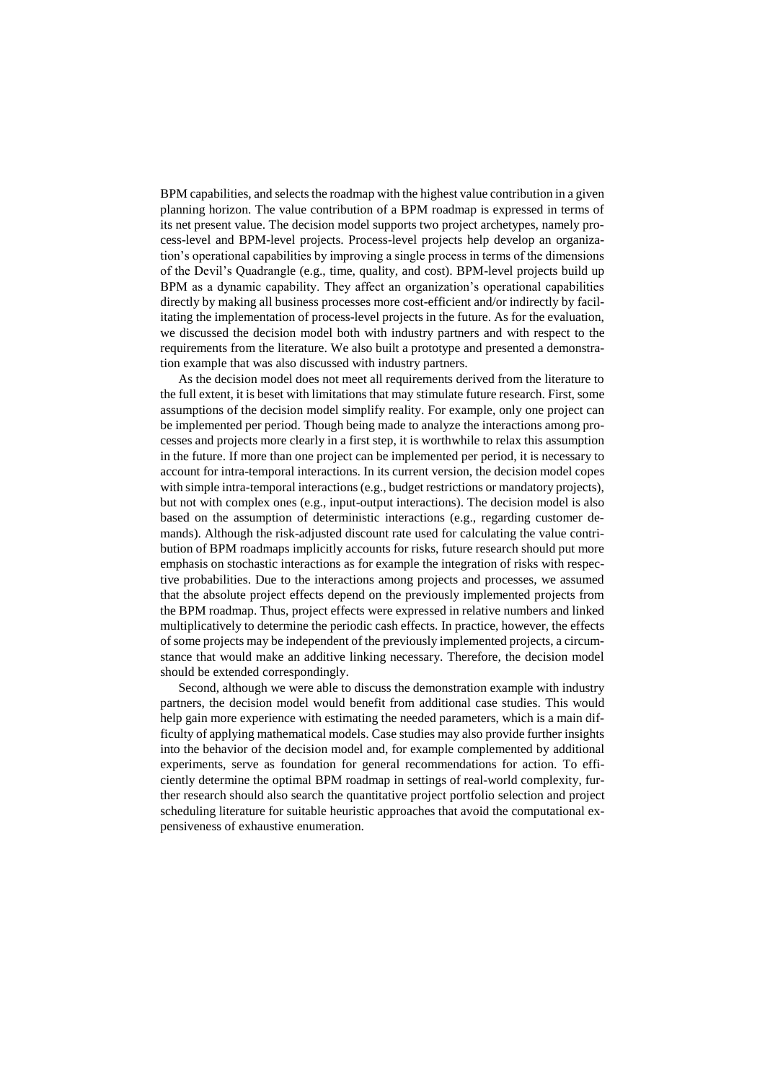BPM capabilities, and selects the roadmap with the highest value contribution in a given planning horizon. The value contribution of a BPM roadmap is expressed in terms of its net present value. The decision model supports two project archetypes, namely process-level and BPM-level projects. Process-level projects help develop an organization's operational capabilities by improving a single process in terms of the dimensions of the Devil's Quadrangle (e.g., time, quality, and cost). BPM-level projects build up BPM as a dynamic capability. They affect an organization's operational capabilities directly by making all business processes more cost-efficient and/or indirectly by facilitating the implementation of process-level projects in the future. As for the evaluation, we discussed the decision model both with industry partners and with respect to the requirements from the literature. We also built a prototype and presented a demonstration example that was also discussed with industry partners.

As the decision model does not meet all requirements derived from the literature to the full extent, it is beset with limitations that may stimulate future research. First, some assumptions of the decision model simplify reality. For example, only one project can be implemented per period. Though being made to analyze the interactions among processes and projects more clearly in a first step, it is worthwhile to relax this assumption in the future. If more than one project can be implemented per period, it is necessary to account for intra-temporal interactions. In its current version, the decision model copes with simple intra-temporal interactions (e.g., budget restrictions or mandatory projects), but not with complex ones (e.g., input-output interactions). The decision model is also based on the assumption of deterministic interactions (e.g., regarding customer demands). Although the risk-adjusted discount rate used for calculating the value contribution of BPM roadmaps implicitly accounts for risks, future research should put more emphasis on stochastic interactions as for example the integration of risks with respective probabilities. Due to the interactions among projects and processes, we assumed that the absolute project effects depend on the previously implemented projects from the BPM roadmap. Thus, project effects were expressed in relative numbers and linked multiplicatively to determine the periodic cash effects. In practice, however, the effects of some projects may be independent of the previously implemented projects, a circumstance that would make an additive linking necessary. Therefore, the decision model should be extended correspondingly.

Second, although we were able to discuss the demonstration example with industry partners, the decision model would benefit from additional case studies. This would help gain more experience with estimating the needed parameters, which is a main difficulty of applying mathematical models. Case studies may also provide further insights into the behavior of the decision model and, for example complemented by additional experiments, serve as foundation for general recommendations for action. To efficiently determine the optimal BPM roadmap in settings of real-world complexity, further research should also search the quantitative project portfolio selection and project scheduling literature for suitable heuristic approaches that avoid the computational expensiveness of exhaustive enumeration.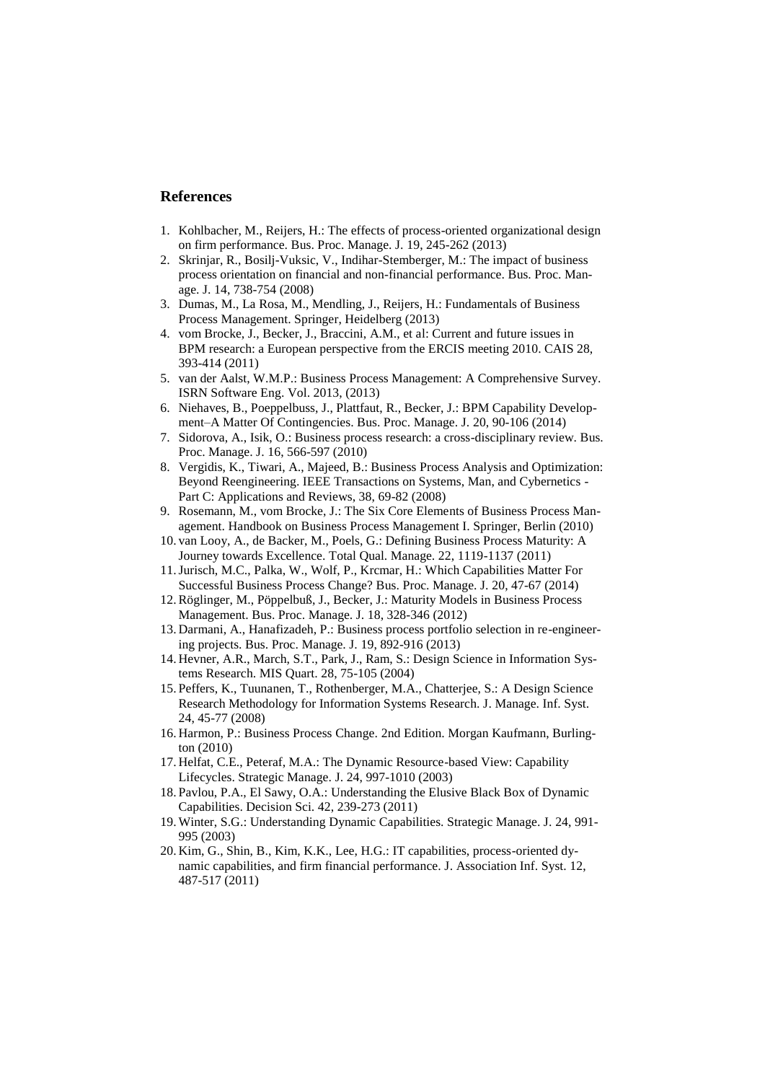## **References**

- 1. Kohlbacher, M., Reijers, H.: The effects of process-oriented organizational design on firm performance. Bus. Proc. Manage. J. 19, 245-262 (2013)
- 2. Skrinjar, R., Bosilj-Vuksic, V., Indihar-Stemberger, M.: The impact of business process orientation on financial and non-financial performance. Bus. Proc. Manage. J. 14, 738-754 (2008)
- 3. Dumas, M., La Rosa, M., Mendling, J., Reijers, H.: Fundamentals of Business Process Management. Springer, Heidelberg (2013)
- 4. vom Brocke, J., Becker, J., Braccini, A.M., et al: Current and future issues in BPM research: a European perspective from the ERCIS meeting 2010. CAIS 28, 393-414 (2011)
- 5. van der Aalst, W.M.P.: Business Process Management: A Comprehensive Survey. ISRN Software Eng. Vol. 2013, (2013)
- 6. Niehaves, B., Poeppelbuss, J., Plattfaut, R., Becker, J.: BPM Capability Development–A Matter Of Contingencies. Bus. Proc. Manage. J. 20, 90-106 (2014)
- 7. Sidorova, A., Isik, O.: Business process research: a cross-disciplinary review. Bus. Proc. Manage. J. 16, 566-597 (2010)
- 8. Vergidis, K., Tiwari, A., Majeed, B.: Business Process Analysis and Optimization: Beyond Reengineering. IEEE Transactions on Systems, Man, and Cybernetics - Part C: Applications and Reviews, 38, 69-82 (2008)
- 9. Rosemann, M., vom Brocke, J.: The Six Core Elements of Business Process Management. Handbook on Business Process Management I. Springer, Berlin (2010)
- 10. van Looy, A., de Backer, M., Poels, G.: Defining Business Process Maturity: A Journey towards Excellence. Total Qual. Manage. 22, 1119-1137 (2011)
- 11.Jurisch, M.C., Palka, W., Wolf, P., Krcmar, H.: Which Capabilities Matter For Successful Business Process Change? Bus. Proc. Manage. J. 20, 47-67 (2014)
- 12.Röglinger, M., Pöppelbuß, J., Becker, J.: Maturity Models in Business Process Management. Bus. Proc. Manage. J. 18, 328-346 (2012)
- 13. Darmani, A., Hanafizadeh, P.: Business process portfolio selection in re-engineering projects. Bus. Proc. Manage. J. 19, 892-916 (2013)
- 14. Hevner, A.R., March, S.T., Park, J., Ram, S.: Design Science in Information Systems Research. MIS Quart. 28, 75-105 (2004)
- 15. Peffers, K., Tuunanen, T., Rothenberger, M.A., Chatterjee, S.: A Design Science Research Methodology for Information Systems Research. J. Manage. Inf. Syst. 24, 45-77 (2008)
- 16. Harmon, P.: Business Process Change. 2nd Edition. Morgan Kaufmann, Burlington (2010)
- 17. Helfat, C.E., Peteraf, M.A.: The Dynamic Resource-based View: Capability Lifecycles. Strategic Manage. J. 24, 997-1010 (2003)
- 18. Pavlou, P.A., El Sawy, O.A.: Understanding the Elusive Black Box of Dynamic Capabilities. Decision Sci. 42, 239-273 (2011)
- 19. Winter, S.G.: Understanding Dynamic Capabilities. Strategic Manage. J. 24, 991- 995 (2003)
- 20. Kim, G., Shin, B., Kim, K.K., Lee, H.G.: IT capabilities, process-oriented dynamic capabilities, and firm financial performance. J. Association Inf. Syst. 12, 487-517 (2011)